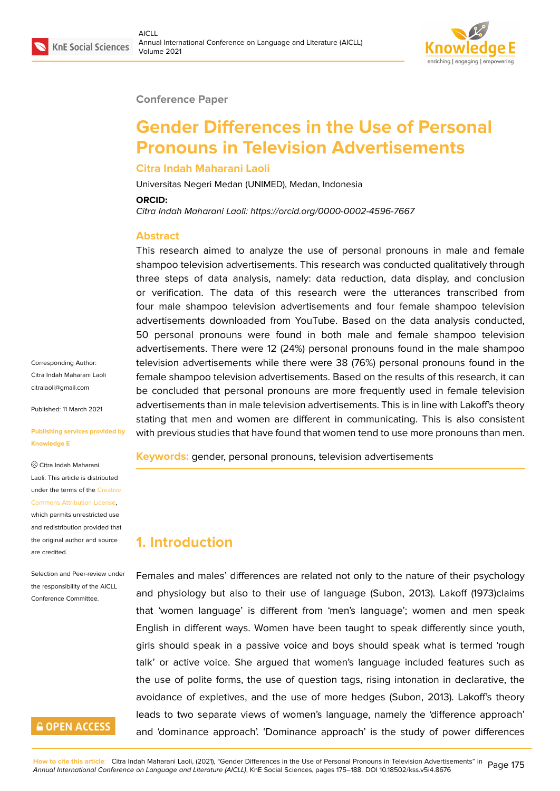#### **Conference Paper**

# **Gender Differences in the Use of Personal Pronouns in Television Advertisements**

#### **Citra Indah Maharani Laoli**

Universitas Negeri Medan (UNIMED), Medan, Indonesia

#### **ORCID:**

*Citra Indah Maharani Laoli: https://orcid.org/0000-0002-4596-7667*

#### **Abstract**

This research aimed to analyze the use of personal pronouns in male and female shampoo television advertisements. This research was conducted qualitatively through three steps of data analysis, namely: data reduction, data display, and conclusion or verification. The data of this research were the utterances transcribed from four male shampoo television advertisements and four female shampoo television advertisements downloaded from YouTube. Based on the data analysis conducted, 50 personal pronouns were found in both male and female shampoo television advertisements. There were 12 (24%) personal pronouns found in the male shampoo television advertisements while there were 38 (76%) personal pronouns found in the female shampoo television advertisements. Based on the results of this research, it can be concluded that personal pronouns are more frequently used in female television advertisements than in male television advertisements. This is in line with Lakoff's theory stating that men and women are different in communicating. This is also consistent with previous studies that have found that women tend to use more pronouns than men.

**Keywords:** gender, personal pronouns, television advertisements

### **1. Introduction**

Females and males' differences are related not only to the nature of their psychology and physiology but also to their use of language (Subon, 2013). Lakoff (1973)claims that 'women language' is different from 'men's language'; women and men speak English in different ways. Women have been taught to speak differently since youth, girls should speak in a passive voice and boys should speak what is termed 'rough talk' or active voice. She argued that women's language included features such as the use of polite forms, the use of question tags, rising intonation in declarative, the avoidance of expletives, and the use of more hedges (Subon, 2013). Lakoff's theory leads to two separate views of women's language, namely the 'difference approach' and 'dominance approach'. 'Dominance approach' is the study of power differences

Corresponding Author: Citra Indah Maharani Laoli citralaoli@gmail.com

Published: 11 March 2021

#### **[Publishing services](mailto:citralaoli@gmail.com) provided by Knowledge E**

Citra Indah Maharani Laoli. This article is distributed under the terms of the Creative Commons Attribution License, which permits unrestricted use

and redistribution provided that the original author and [source](https://creativecommons.org/licenses/by/4.0/) [are credited.](https://creativecommons.org/licenses/by/4.0/)

#### Selection and Peer-review under the responsibility of the AICLL Conference Committee.

# **GOPEN ACCESS**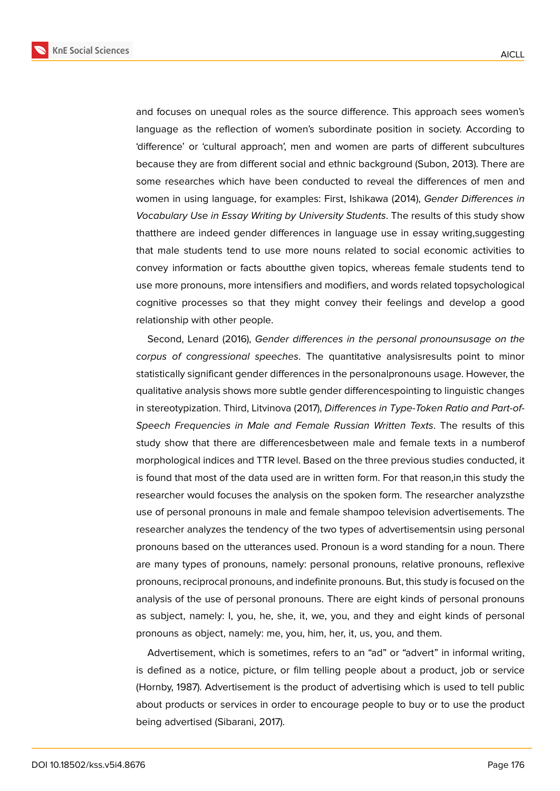**KnE Social Sciences** 



and focuses on unequal roles as the source difference. This approach sees women's language as the reflection of women's subordinate position in society. According to 'difference' or 'cultural approach', men and women are parts of different subcultures because they are from different social and ethnic background (Subon, 2013). There are some researches which have been conducted to reveal the differences of men and women in using language, for examples: First, Ishikawa (2014), *Gender Differences in Vocabulary Use in Essay Writing by University Students*. The results of this study show thatthere are indeed gender differences in language use in essay writing,suggesting that male students tend to use more nouns related to social economic activities to convey information or facts aboutthe given topics, whereas female students tend to use more pronouns, more intensifiers and modifiers, and words related topsychological cognitive processes so that they might convey their feelings and develop a good relationship with other people.

Second, Lenard (2016), *Gender differences in the personal pronounsusage on the corpus of congressional speeches*. The quantitative analysisresults point to minor statistically significant gender differences in the personalpronouns usage. However, the qualitative analysis shows more subtle gender differencespointing to linguistic changes in stereotypization. Third, Litvinova (2017), *Differences in Type-Token Ratio and Part-of-Speech Frequencies in Male and Female Russian Written Texts*. The results of this study show that there are differencesbetween male and female texts in a numberof morphological indices and TTR level. Based on the three previous studies conducted, it is found that most of the data used are in written form. For that reason,in this study the researcher would focuses the analysis on the spoken form. The researcher analyzsthe use of personal pronouns in male and female shampoo television advertisements. The researcher analyzes the tendency of the two types of advertisementsin using personal pronouns based on the utterances used. Pronoun is a word standing for a noun. There are many types of pronouns, namely: personal pronouns, relative pronouns, reflexive pronouns, reciprocal pronouns, and indefinite pronouns. But, this study is focused on the analysis of the use of personal pronouns. There are eight kinds of personal pronouns as subject, namely: I, you, he, she, it, we, you, and they and eight kinds of personal pronouns as object, namely: me, you, him, her, it, us, you, and them.

Advertisement, which is sometimes, refers to an "ad" or "advert" in informal writing, is defined as a notice, picture, or film telling people about a product, job or service (Hornby, 1987). Advertisement is the product of advertising which is used to tell public about products or services in order to encourage people to buy or to use the product being advertised (Sibarani, 2017).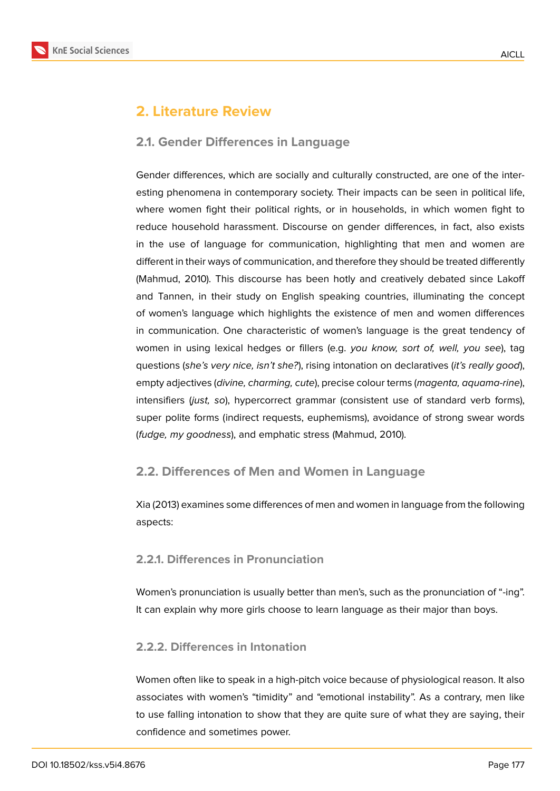

# **2. Literature Review**

#### **2.1. Gender Differences in Language**

Gender differences, which are socially and culturally constructed, are one of the interesting phenomena in contemporary society. Their impacts can be seen in political life, where women fight their political rights, or in households, in which women fight to reduce household harassment. Discourse on gender differences, in fact, also exists in the use of language for communication, highlighting that men and women are different in their ways of communication, and therefore they should be treated differently (Mahmud, 2010). This discourse has been hotly and creatively debated since Lakoff and Tannen, in their study on English speaking countries, illuminating the concept of women's language which highlights the existence of men and women differences in communication. One characteristic of women's language is the great tendency of women in using lexical hedges or fillers (e.g. *you know, sort of, well, you see*), tag questions (*she's very nice, isn't she?*), rising intonation on declaratives (*it's really good*), empty adjectives (*divine, charming, cute*), precise colour terms (*magenta, aquama-rine*), intensifiers (*just, so*), hypercorrect grammar (consistent use of standard verb forms), super polite forms (indirect requests, euphemisms), avoidance of strong swear words (*fudge, my goodness*), and emphatic stress (Mahmud, 2010).

### **2.2. Differences of Men and Women in Language**

Xia (2013) examines some differences of men and women in language from the following aspects:

#### **2.2.1. Differences in Pronunciation**

Women's pronunciation is usually better than men's, such as the pronunciation of "-ing". It can explain why more girls choose to learn language as their major than boys.

#### **2.2.2. Differences in Intonation**

Women often like to speak in a high-pitch voice because of physiological reason. It also associates with women's "timidity" and "emotional instability". As a contrary, men like to use falling intonation to show that they are quite sure of what they are saying, their confidence and sometimes power.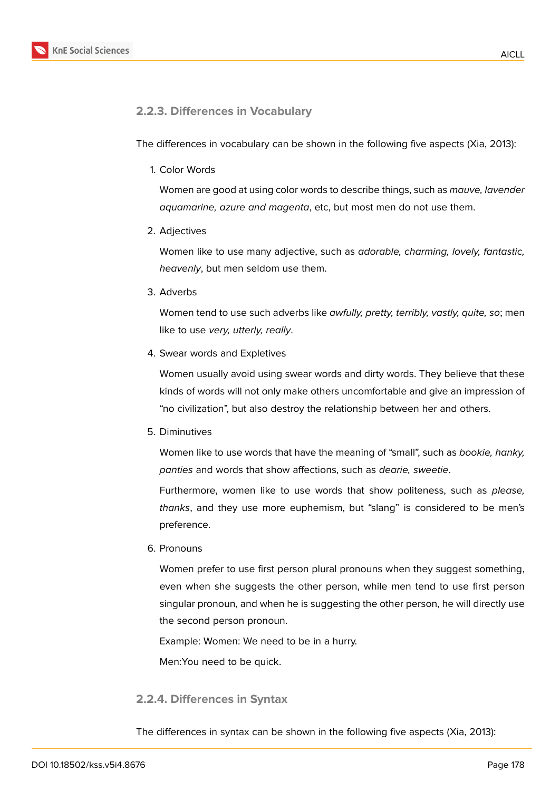

### **2.2.3. Differences in Vocabulary**

The differences in vocabulary can be shown in the following five aspects (Xia, 2013):

1. Color Words

Women are good at using color words to describe things, such as *mauve, lavender aquamarine, azure and magenta*, etc, but most men do not use them.

2. Adjectives

Women like to use many adjective, such as *adorable, charming, lovely, fantastic, heavenly*, but men seldom use them.

3. Adverbs

Women tend to use such adverbs like *awfully, pretty, terribly, vastly, quite, so*; men like to use *very, utterly, really*.

4. Swear words and Expletives

Women usually avoid using swear words and dirty words. They believe that these kinds of words will not only make others uncomfortable and give an impression of "no civilization", but also destroy the relationship between her and others.

5. Diminutives

Women like to use words that have the meaning of "small", such as *bookie, hanky, panties* and words that show affections, such as *dearie, sweetie*.

Furthermore, women like to use words that show politeness, such as *please, thanks*, and they use more euphemism, but "slang" is considered to be men's preference.

6. Pronouns

Women prefer to use first person plural pronouns when they suggest something, even when she suggests the other person, while men tend to use first person singular pronoun, and when he is suggesting the other person, he will directly use the second person pronoun.

Example: Women: We need to be in a hurry.

Men:You need to be quick.

#### **2.2.4. Differences in Syntax**

The differences in syntax can be shown in the following five aspects (Xia, 2013):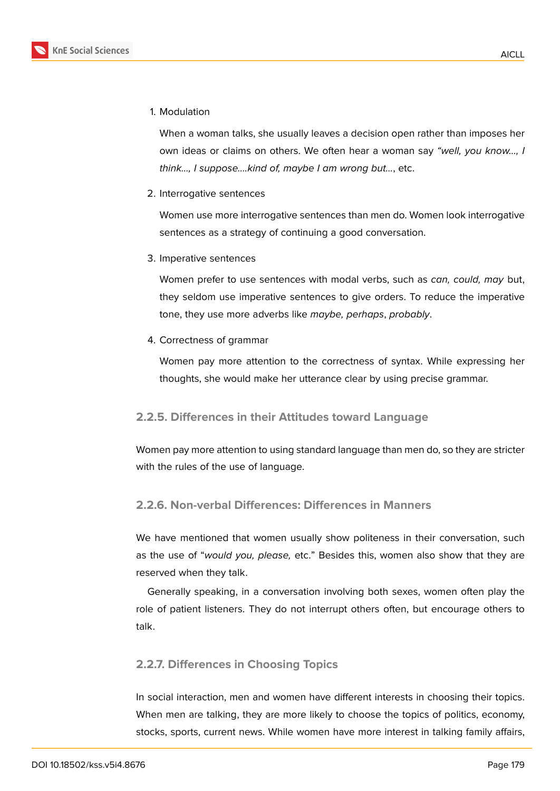

1. Modulation

When a woman talks, she usually leaves a decision open rather than imposes her own ideas or claims on others. We often hear a woman say *"well, you know…, I think…, I suppose….kind of, maybe I am wrong but…*, etc.

2. Interrogative sentences

Women use more interrogative sentences than men do. Women look interrogative sentences as a strategy of continuing a good conversation.

3. Imperative sentences

Women prefer to use sentences with modal verbs, such as *can, could, may* but, they seldom use imperative sentences to give orders. To reduce the imperative tone, they use more adverbs like *maybe, perhaps*, *probably*.

4. Correctness of grammar

Women pay more attention to the correctness of syntax. While expressing her thoughts, she would make her utterance clear by using precise grammar.

#### **2.2.5. Differences in their Attitudes toward Language**

Women pay more attention to using standard language than men do, so they are stricter with the rules of the use of language.

#### **2.2.6. Non-verbal Differences: Differences in Manners**

We have mentioned that women usually show politeness in their conversation, such as the use of "*would you, please,* etc." Besides this, women also show that they are reserved when they talk.

Generally speaking, in a conversation involving both sexes, women often play the role of patient listeners. They do not interrupt others often, but encourage others to talk.

#### **2.2.7. Differences in Choosing Topics**

In social interaction, men and women have different interests in choosing their topics. When men are talking, they are more likely to choose the topics of politics, economy, stocks, sports, current news. While women have more interest in talking family affairs,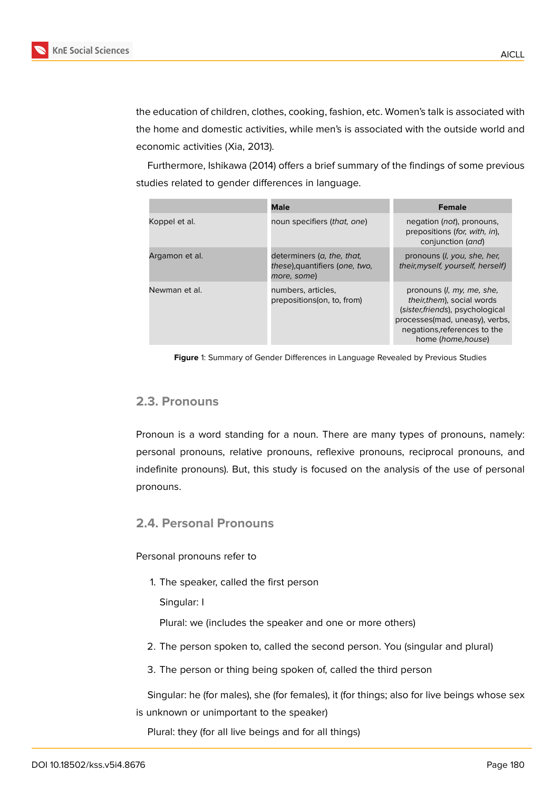the education of children, clothes, cooking, fashion, etc. Women's talk is associated with the home and domestic activities, while men's is associated with the outside world and economic activities (Xia, 2013).

Furthermore, Ishikawa (2014) offers a brief summary of the findings of some previous studies related to gender differences in language.

|                | <b>Male</b>                                                                 | <b>Female</b>                                                                                                                                                                               |
|----------------|-----------------------------------------------------------------------------|---------------------------------------------------------------------------------------------------------------------------------------------------------------------------------------------|
| Koppel et al.  | noun specifiers (that, one)                                                 | negation ( <i>not</i> ), pronouns,<br>prepositions (for, with, in),<br>conjunction (and)                                                                                                    |
| Argamon et al. | determiners (a, the, that,<br>these), quantifiers (one, two,<br>more, some) | pronouns ( <i>l</i> , you, she, her,<br>their, myself, yourself, herself)                                                                                                                   |
| Newman et al.  | numbers, articles,<br>prepositions (on, to, from)                           | pronouns ( <i>l, my, me, she,</i><br>their, them), social words<br>(sister, friends), psychological<br>processes(mad, uneasy), verbs,<br>negations, references to the<br>home (home, house) |

**Figure** 1: Summary of Gender Differences in Language Revealed by Previous Studies

### **2.3. Pronouns**

Pronoun is a word standing for a noun. There are many types of pronouns, namely: personal pronouns, relative pronouns, reflexive pronouns, reciprocal pronouns, and indefinite pronouns). But, this study is focused on the analysis of the use of personal pronouns.

### **2.4. Personal Pronouns**

Personal pronouns refer to

1. The speaker, called the first person

Singular: I

Plural: we (includes the speaker and one or more others)

- 2. The person spoken to, called the second person. You (singular and plural)
- 3. The person or thing being spoken of, called the third person

Singular: he (for males), she (for females), it (for things; also for live beings whose sex is unknown or unimportant to the speaker)

Plural: they (for all live beings and for all things)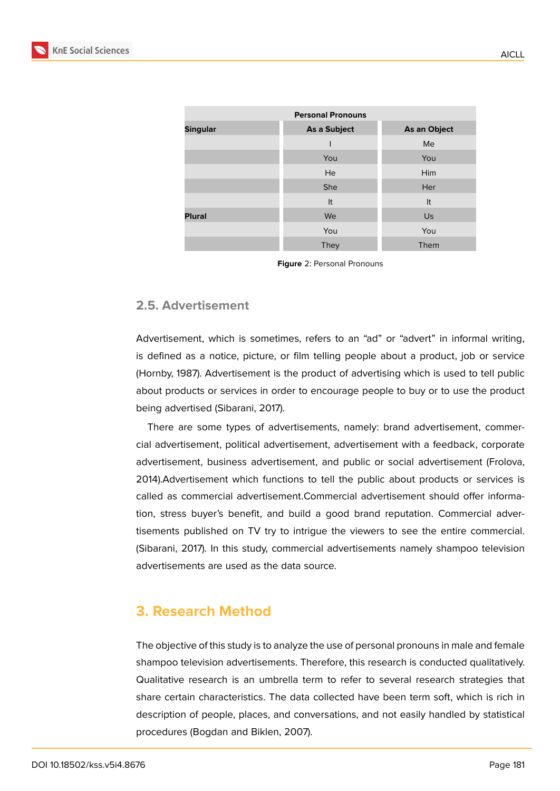| <b>Personal Pronouns</b>                        |             |      |  |  |  |  |  |
|-------------------------------------------------|-------------|------|--|--|--|--|--|
| <b>Singular</b><br>As a Subject<br>As an Object |             |      |  |  |  |  |  |
|                                                 |             | Me   |  |  |  |  |  |
|                                                 | You         | You  |  |  |  |  |  |
|                                                 | He          | Him  |  |  |  |  |  |
|                                                 | <b>She</b>  | Her  |  |  |  |  |  |
|                                                 | It          | It   |  |  |  |  |  |
| <b>Plural</b>                                   | We          | Us   |  |  |  |  |  |
|                                                 | You         | You  |  |  |  |  |  |
|                                                 | <b>They</b> | Them |  |  |  |  |  |

**Figure** 2: Personal Pronouns

### **2.5. Advertisement**

Advertisement, which is sometimes, refers to an "ad" or "advert" in informal writing, is defined as a notice, picture, or film telling people about a product, job or service (Hornby, 1987). Advertisement is the product of advertising which is used to tell public about products or services in order to encourage people to buy or to use the product being advertised (Sibarani, 2017).

There are some types of advertisements, namely: brand advertisement, commercial advertisement, political advertisement, advertisement with a feedback, corporate advertisement, business advertisement, and public or social advertisement (Frolova, 2014).Advertisement which functions to tell the public about products or services is called as commercial advertisement.Commercial advertisement should offer information, stress buyer's benefit, and build a good brand reputation. Commercial advertisements published on TV try to intrigue the viewers to see the entire commercial. (Sibarani, 2017). In this study, commercial advertisements namely shampoo television advertisements are used as the data source.

## **3. Research Method**

The objective of this study is to analyze the use of personal pronouns in male and female shampoo television advertisements. Therefore, this research is conducted qualitatively. Qualitative research is an umbrella term to refer to several research strategies that share certain characteristics. The data collected have been term soft, which is rich in description of people, places, and conversations, and not easily handled by statistical procedures (Bogdan and Biklen, 2007).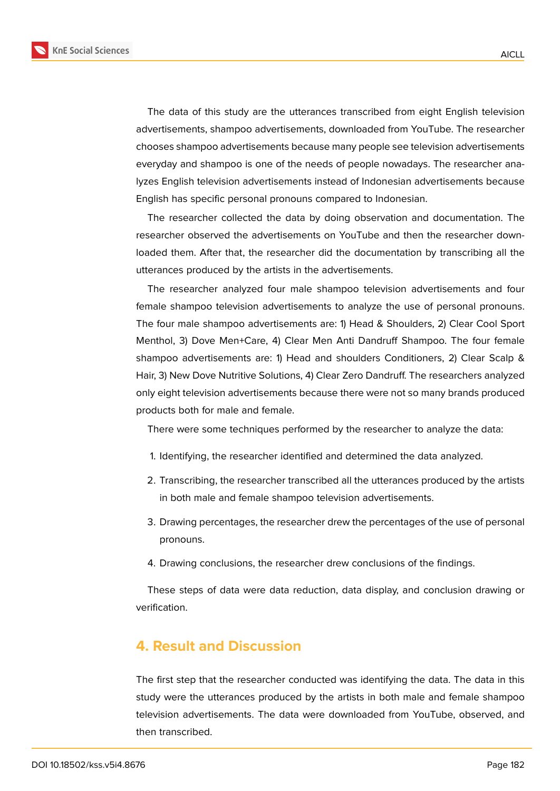

The data of this study are the utterances transcribed from eight English television advertisements, shampoo advertisements, downloaded from YouTube. The researcher chooses shampoo advertisements because many people see television advertisements everyday and shampoo is one of the needs of people nowadays. The researcher analyzes English television advertisements instead of Indonesian advertisements because English has specific personal pronouns compared to Indonesian.

The researcher collected the data by doing observation and documentation. The researcher observed the advertisements on YouTube and then the researcher downloaded them. After that, the researcher did the documentation by transcribing all the utterances produced by the artists in the advertisements.

The researcher analyzed four male shampoo television advertisements and four female shampoo television advertisements to analyze the use of personal pronouns. The four male shampoo advertisements are: 1) Head & Shoulders, 2) Clear Cool Sport Menthol, 3) Dove Men+Care, 4) Clear Men Anti Dandruff Shampoo. The four female shampoo advertisements are: 1) Head and shoulders Conditioners, 2) Clear Scalp & Hair, 3) New Dove Nutritive Solutions, 4) Clear Zero Dandruff. The researchers analyzed only eight television advertisements because there were not so many brands produced products both for male and female.

There were some techniques performed by the researcher to analyze the data:

- 1. Identifying, the researcher identified and determined the data analyzed.
- 2. Transcribing, the researcher transcribed all the utterances produced by the artists in both male and female shampoo television advertisements.
- 3. Drawing percentages, the researcher drew the percentages of the use of personal pronouns.
- 4. Drawing conclusions, the researcher drew conclusions of the findings.

These steps of data were data reduction, data display, and conclusion drawing or verification.

### **4. Result and Discussion**

The first step that the researcher conducted was identifying the data. The data in this study were the utterances produced by the artists in both male and female shampoo television advertisements. The data were downloaded from YouTube, observed, and then transcribed.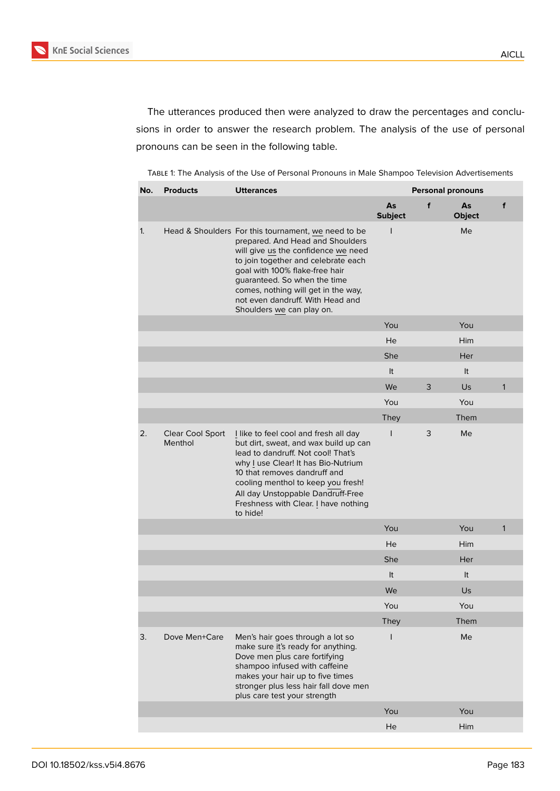The utterances produced then were analyzed to draw the percentages and conclusions in order to answer the research problem. The analysis of the use of personal pronouns can be seen in the following table.

TABLE 1: The Analysis of the Use of Personal Pronouns in Male Shampoo Television Advertisements

| No. | <b>Products</b>             | <b>Utterances</b>                                                                                                                                                                                                                                                                                                                               | <b>Personal pronouns</b> |   |                     |              |
|-----|-----------------------------|-------------------------------------------------------------------------------------------------------------------------------------------------------------------------------------------------------------------------------------------------------------------------------------------------------------------------------------------------|--------------------------|---|---------------------|--------------|
|     |                             |                                                                                                                                                                                                                                                                                                                                                 | As<br><b>Subject</b>     | f | As<br><b>Object</b> | f            |
| 1.  |                             | Head & Shoulders For this tournament, we need to be<br>prepared. And Head and Shoulders<br>will give us the confidence we need<br>to join together and celebrate each<br>goal with 100% flake-free hair<br>guaranteed. So when the time<br>comes, nothing will get in the way,<br>not even dandruff. With Head and<br>Shoulders we can play on. | T                        |   | Me                  |              |
|     |                             |                                                                                                                                                                                                                                                                                                                                                 | You                      |   | You                 |              |
|     |                             |                                                                                                                                                                                                                                                                                                                                                 | He                       |   | Him                 |              |
|     |                             |                                                                                                                                                                                                                                                                                                                                                 | She                      |   | Her                 |              |
|     |                             |                                                                                                                                                                                                                                                                                                                                                 | It                       |   | It                  |              |
|     |                             |                                                                                                                                                                                                                                                                                                                                                 | We                       | 3 | Us.                 | $\mathbf{1}$ |
|     |                             |                                                                                                                                                                                                                                                                                                                                                 | You                      |   | You                 |              |
|     |                             |                                                                                                                                                                                                                                                                                                                                                 | <b>They</b>              |   | Them                |              |
| 2.  | Clear Cool Sport<br>Menthol | I like to feel cool and fresh all day<br>but dirt, sweat, and wax build up can<br>lead to dandruff. Not cool! That's<br>why I use Clear! It has Bio-Nutrium<br>10 that removes dandruff and<br>cooling menthol to keep you fresh!<br>All day Unstoppable Dandruff-Free<br>Freshness with Clear. I have nothing<br>to hide!                      | $\mathsf{I}$             | 3 | Me                  |              |
|     |                             |                                                                                                                                                                                                                                                                                                                                                 | You                      |   | You                 | $\mathbf{1}$ |
|     |                             |                                                                                                                                                                                                                                                                                                                                                 | He                       |   | <b>Him</b>          |              |
|     |                             |                                                                                                                                                                                                                                                                                                                                                 | She                      |   | Her                 |              |
|     |                             |                                                                                                                                                                                                                                                                                                                                                 | It                       |   | It                  |              |
|     |                             |                                                                                                                                                                                                                                                                                                                                                 | We                       |   | Us                  |              |
|     |                             |                                                                                                                                                                                                                                                                                                                                                 | You                      |   | You                 |              |
|     |                             |                                                                                                                                                                                                                                                                                                                                                 | <b>They</b>              |   | Them                |              |
| 3.  | Dove Men+Care               | Men's hair goes through a lot so<br>make sure it's ready for anything.<br>Dove men plus care fortifying<br>shampoo infused with caffeine<br>makes your hair up to five times<br>stronger plus less hair fall dove men<br>plus care test your strength                                                                                           | I                        |   | Me                  |              |
|     |                             |                                                                                                                                                                                                                                                                                                                                                 | You                      |   | You                 |              |
|     |                             |                                                                                                                                                                                                                                                                                                                                                 | He                       |   | Him                 |              |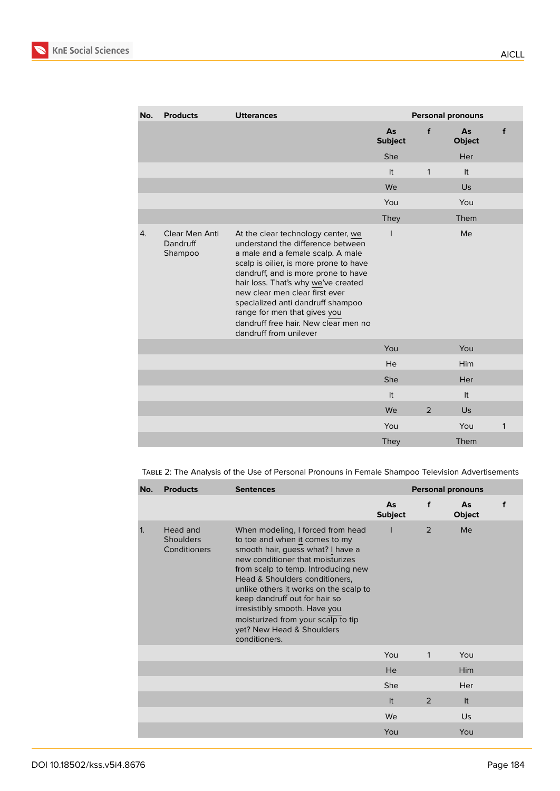

| No. | <b>Products</b>                       | <b>Utterances</b>                                                                                                                                                                                                                                                                                                                                                                                             | <b>Personal pronouns</b> |              |                     |   |
|-----|---------------------------------------|---------------------------------------------------------------------------------------------------------------------------------------------------------------------------------------------------------------------------------------------------------------------------------------------------------------------------------------------------------------------------------------------------------------|--------------------------|--------------|---------------------|---|
|     |                                       |                                                                                                                                                                                                                                                                                                                                                                                                               | As<br><b>Subject</b>     | f            | As<br><b>Object</b> | f |
|     |                                       |                                                                                                                                                                                                                                                                                                                                                                                                               | She                      |              | Her                 |   |
|     |                                       |                                                                                                                                                                                                                                                                                                                                                                                                               | It                       | $\mathbf{1}$ | It                  |   |
|     |                                       |                                                                                                                                                                                                                                                                                                                                                                                                               | We                       |              | Us                  |   |
|     |                                       |                                                                                                                                                                                                                                                                                                                                                                                                               | You                      |              | You                 |   |
|     |                                       |                                                                                                                                                                                                                                                                                                                                                                                                               | <b>They</b>              |              | Them                |   |
| 4.  | Clear Men Anti<br>Dandruff<br>Shampoo | At the clear technology center, we<br>understand the difference between<br>a male and a female scalp. A male<br>scalp is oilier, is more prone to have<br>dandruff, and is more prone to have<br>hair loss. That's why we've created<br>new clear men clear first ever<br>specialized anti dandruff shampoo<br>range for men that gives you<br>dandruff free hair. New clear men no<br>dandruff from unilever | I                        |              | Me                  |   |
|     |                                       |                                                                                                                                                                                                                                                                                                                                                                                                               | You                      |              | You                 |   |
|     |                                       |                                                                                                                                                                                                                                                                                                                                                                                                               | He                       |              | Him                 |   |
|     |                                       |                                                                                                                                                                                                                                                                                                                                                                                                               | She                      |              | Her                 |   |
|     |                                       |                                                                                                                                                                                                                                                                                                                                                                                                               | It                       |              | It                  |   |
|     |                                       |                                                                                                                                                                                                                                                                                                                                                                                                               | We                       | 2            | Us                  |   |
|     |                                       |                                                                                                                                                                                                                                                                                                                                                                                                               | You                      |              | You                 | 1 |
|     |                                       |                                                                                                                                                                                                                                                                                                                                                                                                               | <b>They</b>              |              | Them                |   |

TABLE 2: The Analysis of the Use of Personal Pronouns in Female Shampoo Television Advertisements

| No.          | <b>Products</b>                              | <b>Sentences</b>                                                                                                                                                                                                                                                                                                                                                                                                      | <b>Personal pronouns</b> |              |                     |   |
|--------------|----------------------------------------------|-----------------------------------------------------------------------------------------------------------------------------------------------------------------------------------------------------------------------------------------------------------------------------------------------------------------------------------------------------------------------------------------------------------------------|--------------------------|--------------|---------------------|---|
|              |                                              |                                                                                                                                                                                                                                                                                                                                                                                                                       | As<br><b>Subject</b>     | f            | As<br><b>Object</b> | f |
| $\mathbf{1}$ | Head and<br><b>Shoulders</b><br>Conditioners | When modeling, I forced from head<br>to toe and when it comes to my<br>smooth hair, guess what? I have a<br>new conditioner that moisturizes<br>from scalp to temp. Introducing new<br>Head & Shoulders conditioners,<br>unlike others it works on the scalp to<br>keep dandruff out for hair so<br>irresistibly smooth. Have you<br>moisturized from your scalp to tip<br>yet? New Head & Shoulders<br>conditioners. |                          | 2            | Me                  |   |
|              |                                              |                                                                                                                                                                                                                                                                                                                                                                                                                       | You                      | $\mathbf{1}$ | You                 |   |
|              |                                              |                                                                                                                                                                                                                                                                                                                                                                                                                       | <b>He</b>                |              | <b>Him</b>          |   |
|              |                                              |                                                                                                                                                                                                                                                                                                                                                                                                                       | She                      |              | Her                 |   |
|              |                                              |                                                                                                                                                                                                                                                                                                                                                                                                                       | It                       | 2            | It                  |   |
|              |                                              |                                                                                                                                                                                                                                                                                                                                                                                                                       | We                       |              | Us                  |   |
|              |                                              |                                                                                                                                                                                                                                                                                                                                                                                                                       | You                      |              | You                 |   |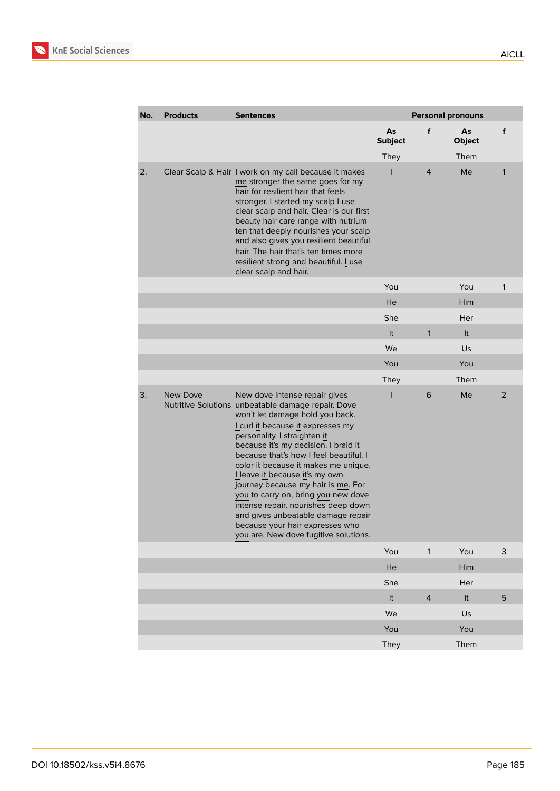

| No. | <b>Products</b> | <b>Sentences</b>                                                                                                                                                                                                                                                                                                                                                                                                                                                                                                                                                                              | <b>Personal pronouns</b> |                |                     |                |
|-----|-----------------|-----------------------------------------------------------------------------------------------------------------------------------------------------------------------------------------------------------------------------------------------------------------------------------------------------------------------------------------------------------------------------------------------------------------------------------------------------------------------------------------------------------------------------------------------------------------------------------------------|--------------------------|----------------|---------------------|----------------|
|     |                 |                                                                                                                                                                                                                                                                                                                                                                                                                                                                                                                                                                                               | As<br><b>Subject</b>     | f              | As<br><b>Object</b> | f              |
|     |                 |                                                                                                                                                                                                                                                                                                                                                                                                                                                                                                                                                                                               | <b>They</b>              |                | Them                |                |
| 2.  |                 | Clear Scalp & Hair I work on my call because it makes<br>me stronger the same goes for my<br>hair for resilient hair that feels<br>stronger. I started my scalp I use<br>clear scalp and hair. Clear is our first<br>beauty hair care range with nutrium<br>ten that deeply nourishes your scalp<br>and also gives you resilient beautiful<br>hair. The hair that's ten times more<br>resilient strong and beautiful. I use<br>clear scalp and hair.                                                                                                                                          | ı                        | 4              | Me                  | 1              |
|     |                 |                                                                                                                                                                                                                                                                                                                                                                                                                                                                                                                                                                                               | You                      |                | You                 | $\mathbf{1}$   |
|     |                 |                                                                                                                                                                                                                                                                                                                                                                                                                                                                                                                                                                                               | He                       |                | Him                 |                |
|     |                 |                                                                                                                                                                                                                                                                                                                                                                                                                                                                                                                                                                                               | She                      |                | Her                 |                |
|     |                 |                                                                                                                                                                                                                                                                                                                                                                                                                                                                                                                                                                                               | It                       | $\mathbf{1}$   | It                  |                |
|     |                 |                                                                                                                                                                                                                                                                                                                                                                                                                                                                                                                                                                                               | We                       |                | Us                  |                |
|     |                 |                                                                                                                                                                                                                                                                                                                                                                                                                                                                                                                                                                                               | You                      |                | You                 |                |
|     |                 |                                                                                                                                                                                                                                                                                                                                                                                                                                                                                                                                                                                               | <b>They</b>              |                | Them                |                |
| 3.  | <b>New Dove</b> | New dove intense repair gives<br>Nutritive Solutions unbeatable damage repair. Dove<br>won't let damage hold you back.<br>I curl it because it expresses my<br>personality. I straighten it<br>because it's my decision. I braid it<br>because that's how I feel beautiful. I<br>color it because it makes me unique.<br>I leave it because it's my own<br>journey because my hair is me. For<br>you to carry on, bring you new dove<br>intense repair, nourishes deep down<br>and gives unbeatable damage repair<br>because your hair expresses who<br>you are. New dove fugitive solutions. | ı                        | 6              | Me                  | $\overline{2}$ |
|     |                 |                                                                                                                                                                                                                                                                                                                                                                                                                                                                                                                                                                                               | You                      | $\mathbf{1}$   | You                 | 3              |
|     |                 |                                                                                                                                                                                                                                                                                                                                                                                                                                                                                                                                                                                               | He                       |                | Him                 |                |
|     |                 |                                                                                                                                                                                                                                                                                                                                                                                                                                                                                                                                                                                               | She                      |                | Her                 |                |
|     |                 |                                                                                                                                                                                                                                                                                                                                                                                                                                                                                                                                                                                               | It                       | $\overline{4}$ | It                  | 5              |
|     |                 |                                                                                                                                                                                                                                                                                                                                                                                                                                                                                                                                                                                               | We                       |                | Us                  |                |
|     |                 |                                                                                                                                                                                                                                                                                                                                                                                                                                                                                                                                                                                               | You                      |                | You                 |                |
|     |                 |                                                                                                                                                                                                                                                                                                                                                                                                                                                                                                                                                                                               | They                     |                | Them                |                |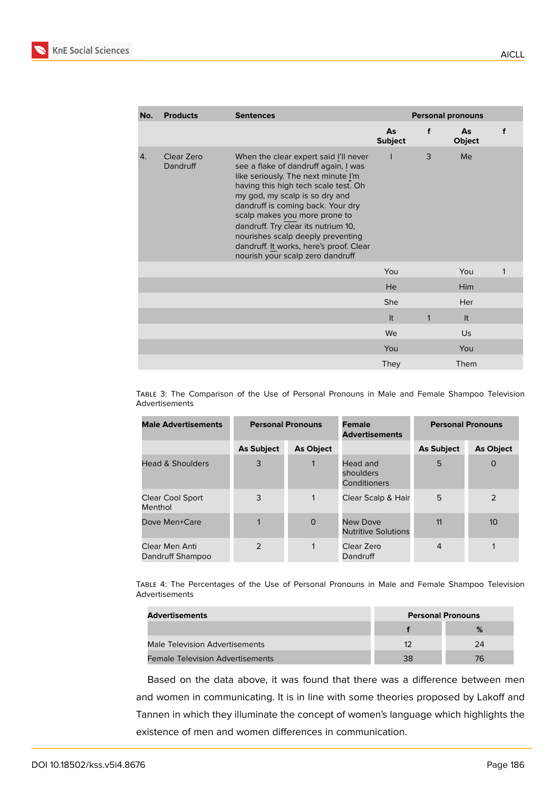

| <b>Products</b>        | <b>Sentences</b>                                                                                                                                                                                                                                                                                                                                                                                                                | <b>Personal pronouns</b> |   |              |   |
|------------------------|---------------------------------------------------------------------------------------------------------------------------------------------------------------------------------------------------------------------------------------------------------------------------------------------------------------------------------------------------------------------------------------------------------------------------------|--------------------------|---|--------------|---|
|                        |                                                                                                                                                                                                                                                                                                                                                                                                                                 | As<br><b>Subject</b>     | f | As<br>Object | f |
| Clear Zero<br>Dandruff | When the clear expert said I'll never<br>see a flake of dandruff again, I was<br>like seriously. The next minute I'm<br>having this high tech scale test. Oh<br>my god, my scalp is so dry and<br>dandruff is coming back. Your dry<br>scalp makes you more prone to<br>dandruff. Try clear its nutrium 10,<br>nourishes scalp deeply preventing<br>dandruff. It works, here's proof. Clear<br>nourish your scalp zero dandruff |                          | 3 | Me           |   |
|                        |                                                                                                                                                                                                                                                                                                                                                                                                                                 | You                      |   | You          | 1 |
|                        |                                                                                                                                                                                                                                                                                                                                                                                                                                 | He                       |   | Him          |   |
|                        |                                                                                                                                                                                                                                                                                                                                                                                                                                 | She                      |   | Her          |   |
|                        |                                                                                                                                                                                                                                                                                                                                                                                                                                 | It                       | 1 | It           |   |
|                        |                                                                                                                                                                                                                                                                                                                                                                                                                                 | We                       |   | Us           |   |
|                        |                                                                                                                                                                                                                                                                                                                                                                                                                                 | You                      |   | You          |   |
|                        |                                                                                                                                                                                                                                                                                                                                                                                                                                 | <b>They</b>              |   | Them         |   |
|                        |                                                                                                                                                                                                                                                                                                                                                                                                                                 |                          |   |              |   |

TABLE 3: The Comparison of the Use of Personal Pronouns in Male and Female Shampoo Television Advertisements

| <b>Male Advertisements</b>         |                   | <b>Personal Pronouns</b> | <b>Female</b><br><b>Advertisements</b> | <b>Personal Pronouns</b> |                  |
|------------------------------------|-------------------|--------------------------|----------------------------------------|--------------------------|------------------|
|                                    | <b>As Subject</b> | <b>As Object</b>         |                                        | <b>As Subject</b>        | <b>As Object</b> |
| <b>Head &amp; Shoulders</b>        | 3                 |                          | Head and<br>shoulders<br>Conditioners  | 5                        | $\Omega$         |
| Clear Cool Sport<br>Menthol        | 3                 | $\mathbf{1}$             | Clear Scalp & Hair                     | 5                        | 2                |
| Dove Men+Care                      |                   | $\Omega$                 | New Dove<br><b>Nutritive Solutions</b> | 11                       | 10 <sup>10</sup> |
| Clear Men Anti<br>Dandruff Shampoo | $\mathcal{P}$     | 1                        | Clear Zero<br>Dandruff                 | $\overline{4}$           | 1                |

TABLE 4: The Percentages of the Use of Personal Pronouns in Male and Female Shampoo Television Advertisements

| Advertisements                          | <b>Personal Pronouns</b> |    |  |
|-----------------------------------------|--------------------------|----|--|
|                                         |                          | %  |  |
| Male Television Advertisements          | 12                       | 24 |  |
| <b>Female Television Advertisements</b> | 38                       | 76 |  |

Based on the data above, it was found that there was a difference between men and women in communicating. It is in line with some theories proposed by Lakoff and Tannen in which they illuminate the concept of women's language which highlights the existence of men and women differences in communication.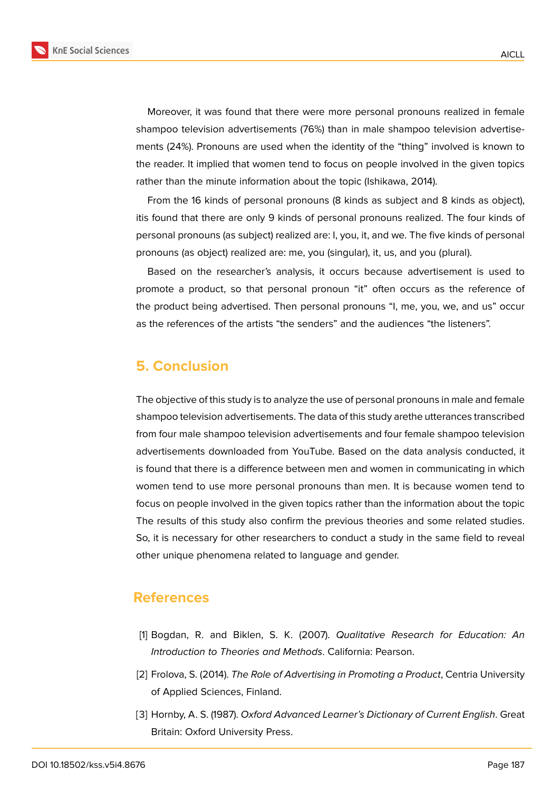

Moreover, it was found that there were more personal pronouns realized in female shampoo television advertisements (76%) than in male shampoo television advertisements (24%). Pronouns are used when the identity of the "thing" involved is known to the reader. It implied that women tend to focus on people involved in the given topics rather than the minute information about the topic (Ishikawa, 2014).

From the 16 kinds of personal pronouns (8 kinds as subject and 8 kinds as object), itis found that there are only 9 kinds of personal pronouns realized. The four kinds of personal pronouns (as subject) realized are: I, you, it, and we. The five kinds of personal pronouns (as object) realized are: me, you (singular), it, us, and you (plural).

Based on the researcher's analysis, it occurs because advertisement is used to promote a product, so that personal pronoun "it" often occurs as the reference of the product being advertised. Then personal pronouns "I, me, you, we, and us" occur as the references of the artists "the senders" and the audiences "the listeners".

# **5. Conclusion**

The objective of this study is to analyze the use of personal pronouns in male and female shampoo television advertisements. The data of this study arethe utterances transcribed from four male shampoo television advertisements and four female shampoo television advertisements downloaded from YouTube. Based on the data analysis conducted, it is found that there is a difference between men and women in communicating in which women tend to use more personal pronouns than men. It is because women tend to focus on people involved in the given topics rather than the information about the topic The results of this study also confirm the previous theories and some related studies. So, it is necessary for other researchers to conduct a study in the same field to reveal other unique phenomena related to language and gender.

### **References**

- [1] Bogdan, R. and Biklen, S. K. (2007). *Qualitative Research for Education: An Introduction to Theories and Methods*. California: Pearson.
- [2] Frolova, S. (2014). *The Role of Advertising in Promoting a Product*, Centria University of Applied Sciences, Finland.
- [3] Hornby, A. S. (1987). *Oxford Advanced Learner's Dictionary of Current English*. Great Britain: Oxford University Press.